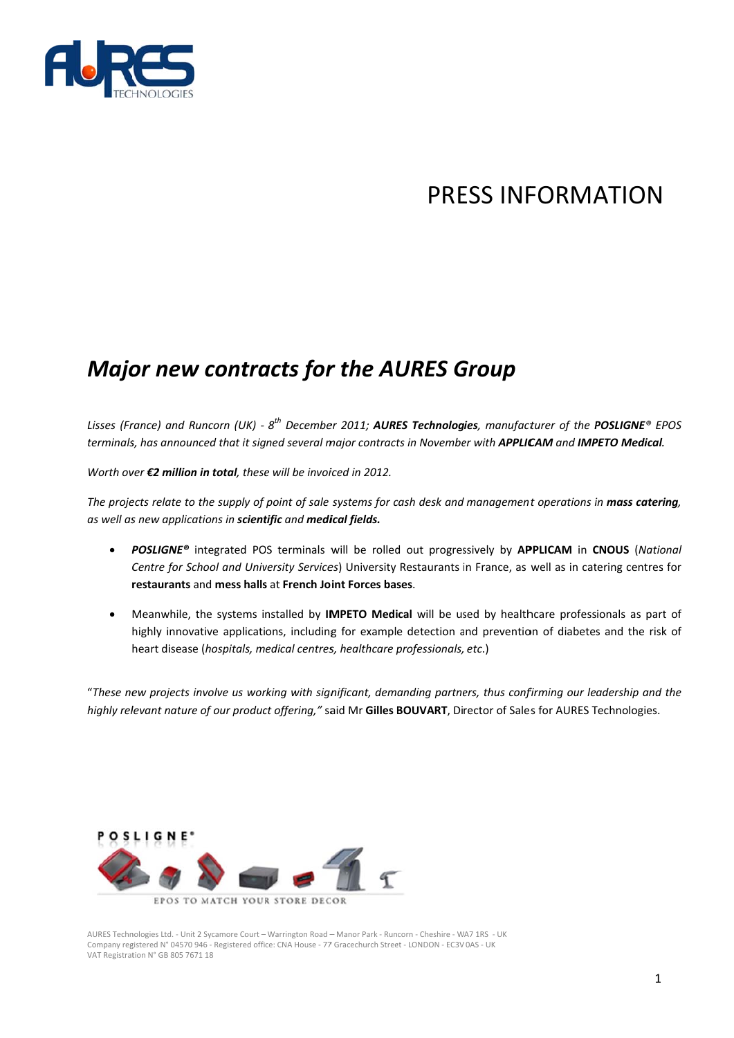

## PRESS INFORMATION

## **Major new contracts for the AURES Group**

Lisses (France) and Runcorn (UK) -  $8^{th}$  December 2011; AURES Technologies, manufacturer of the POSLIGNE® EPOS terminals, has announced that it signed several major contracts in November with APPLICAM and IMPETO Medical.

Worth over  $\epsilon$ 2 million in total, these will be invoiced in 2012.

The projects relate to the supply of point of sale systems for cash desk and management operations in mass catering, as well as new applications in scientific and medical fields.

- POSLIGNE® integrated POS terminals will be rolled out progressively by APPLICAM in CNOUS (National  $\bullet$ Centre for School and University Services) University Restaurants in France, as well as in catering centres for restaurants and mess halls at French Joint Forces bases.
- Meanwhile, the systems installed by IMPETO Medical will be used by healthcare professionals as part of highly innovative applications, including for example detection and prevention of diabetes and the risk of heart disease (hospitals, medical centres, healthcare professionals, etc.)

"These new projects involve us working with significant, demanding partners, thus confirming our leadership and the highly relevant nature of our product offering," said Mr Gilles BOUVART, Director of Sales for AURES Technologies.



AURES Technologies Ltd. - Unit 2 Sycamore Court - Warrington Road - Manor Park - Runcorn - Cheshire - WA7 1RS - UK Company registered N° 04570 946 - Registered office: CNA House - 77 Gracechurch Street - LONDON - EC3V 0AS - UK VAT Registration N° GB 805 7671 18